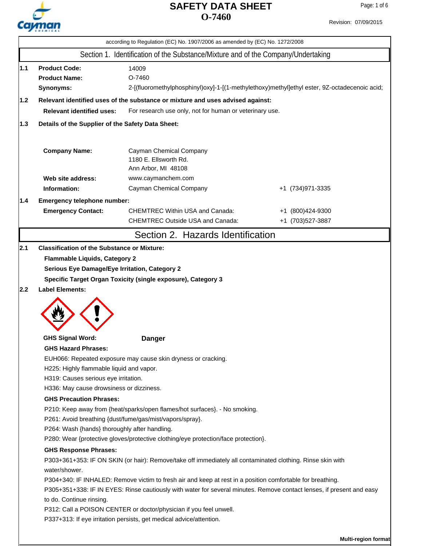

| Revision: 07/09/2015 |
|----------------------|
|                      |

|     |                                                                                             | according to Regulation (EC) No. 1907/2006 as amended by (EC) No. 1272/2008                                                                                                                                                         |                                                                                              |  |  |
|-----|---------------------------------------------------------------------------------------------|-------------------------------------------------------------------------------------------------------------------------------------------------------------------------------------------------------------------------------------|----------------------------------------------------------------------------------------------|--|--|
|     |                                                                                             | Section 1. Identification of the Substance/Mixture and of the Company/Undertaking                                                                                                                                                   |                                                                                              |  |  |
| 1.1 | <b>Product Code:</b><br><b>Product Name:</b><br>Synonyms:                                   | 14009<br>O-7460                                                                                                                                                                                                                     | 2-[(fluoromethylphosphinyl)oxy]-1-[(1-methylethoxy)methyl]ethyl ester, 9Z-octadecenoic acid; |  |  |
| 1.2 |                                                                                             | Relevant identified uses of the substance or mixture and uses advised against:                                                                                                                                                      |                                                                                              |  |  |
|     | <b>Relevant identified uses:</b><br>For research use only, not for human or veterinary use. |                                                                                                                                                                                                                                     |                                                                                              |  |  |
| 1.3 | Details of the Supplier of the Safety Data Sheet:                                           |                                                                                                                                                                                                                                     |                                                                                              |  |  |
|     | <b>Company Name:</b>                                                                        | Cayman Chemical Company<br>1180 E. Ellsworth Rd.<br>Ann Arbor, MI 48108                                                                                                                                                             |                                                                                              |  |  |
|     | Web site address:                                                                           | www.caymanchem.com                                                                                                                                                                                                                  |                                                                                              |  |  |
|     | Information:                                                                                | Cayman Chemical Company                                                                                                                                                                                                             | +1 (734) 971-3335                                                                            |  |  |
| 1.4 | Emergency telephone number:                                                                 |                                                                                                                                                                                                                                     |                                                                                              |  |  |
|     | <b>Emergency Contact:</b>                                                                   | <b>CHEMTREC Within USA and Canada:</b><br><b>CHEMTREC Outside USA and Canada:</b>                                                                                                                                                   | +1 (800)424-9300<br>+1 (703) 527-3887                                                        |  |  |
|     |                                                                                             | Section 2. Hazards Identification                                                                                                                                                                                                   |                                                                                              |  |  |
| 2.1 | <b>Classification of the Substance or Mixture:</b>                                          |                                                                                                                                                                                                                                     |                                                                                              |  |  |
| 2.2 | Serious Eye Damage/Eye Irritation, Category 2<br><b>Label Elements:</b>                     | Specific Target Organ Toxicity (single exposure), Category 3                                                                                                                                                                        |                                                                                              |  |  |
|     | <b>GHS Signal Word:</b>                                                                     | <b>Danger</b>                                                                                                                                                                                                                       |                                                                                              |  |  |
|     | <b>GHS Hazard Phrases:</b>                                                                  |                                                                                                                                                                                                                                     |                                                                                              |  |  |
|     |                                                                                             | EUH066: Repeated exposure may cause skin dryness or cracking.                                                                                                                                                                       |                                                                                              |  |  |
|     | H225: Highly flammable liquid and vapor.<br>H319: Causes serious eye irritation.            |                                                                                                                                                                                                                                     |                                                                                              |  |  |
|     | H336: May cause drowsiness or dizziness.                                                    |                                                                                                                                                                                                                                     |                                                                                              |  |  |
|     | <b>GHS Precaution Phrases:</b>                                                              |                                                                                                                                                                                                                                     |                                                                                              |  |  |
|     | P210: Keep away from {heat/sparks/open flames/hot surfaces}. - No smoking.                  |                                                                                                                                                                                                                                     |                                                                                              |  |  |
|     |                                                                                             | P261: Avoid breathing {dust/fume/gas/mist/vapors/spray}.                                                                                                                                                                            |                                                                                              |  |  |
|     | P264: Wash {hands} thoroughly after handling.                                               |                                                                                                                                                                                                                                     |                                                                                              |  |  |
|     | P280: Wear {protective gloves/protective clothing/eye protection/face protection}.          |                                                                                                                                                                                                                                     |                                                                                              |  |  |
|     | <b>GHS Response Phrases:</b><br>water/shower.                                               | P303+361+353: IF ON SKIN (or hair): Remove/take off immediately all contaminated clothing. Rinse skin with                                                                                                                          |                                                                                              |  |  |
|     | to do. Continue rinsing.                                                                    | P304+340: IF INHALED: Remove victim to fresh air and keep at rest in a position comfortable for breathing.<br>P305+351+338: IF IN EYES: Rinse cautiously with water for several minutes. Remove contact lenses, if present and easy |                                                                                              |  |  |
|     |                                                                                             | P312: Call a POISON CENTER or doctor/physician if you feel unwell.                                                                                                                                                                  |                                                                                              |  |  |
|     |                                                                                             | P337+313: If eye irritation persists, get medical advice/attention.                                                                                                                                                                 |                                                                                              |  |  |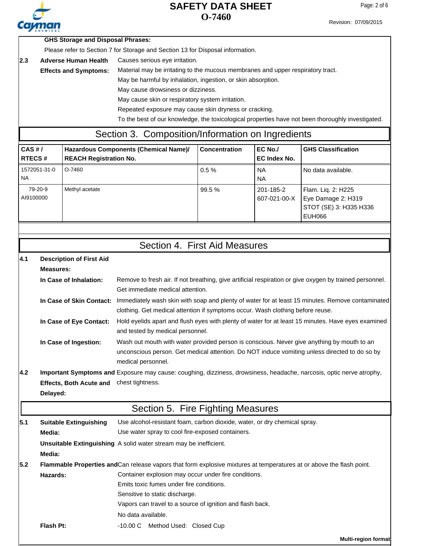

Revision: 07/09/2015

|  | <b>GHS Storage and Disposal Phrases:</b> |  |
|--|------------------------------------------|--|
|--|------------------------------------------|--|

Please refer to Section 7 for Storage and Section 13 for Disposal information.

2.3 Adverse Human Health Causes serious eye irritation. **Adverse Human Health**

> Material may be irritating to the mucous membranes and upper respiratory tract. **Effects and Symptoms:**

> > May be harmful by inhalation, ingestion, or skin absorption.

May cause drowsiness or dizziness.

May cause skin or respiratory system irritation.

Repeated exposure may cause skin dryness or cracking.

To the best of our knowledge, the toxicological properties have not been thoroughly investigated.

#### Section 3. Composition/Information on Ingredients

| CAS H/<br><b>RTECS#</b>   | Hazardous Components (Chemical Name)/<br><b>REACH Registration No.</b> | <b>Concentration</b> | $EC$ No./<br>EC Index No. | <b>GHS Classification</b>                                                    |
|---------------------------|------------------------------------------------------------------------|----------------------|---------------------------|------------------------------------------------------------------------------|
| 1572051-31-0<br><b>NA</b> | O-7460                                                                 | 0.5%                 | <b>NA</b><br><b>NA</b>    | No data available.                                                           |
| 79-20-9<br>AI9100000      | Methyl acetate                                                         | 99.5 %               | 201-185-2<br>607-021-00-X | Flam. Liq. 2: H225<br>Eye Damage 2: H319<br>STOT (SE) 3: H335 H336<br>EUH066 |

#### **Description of First Aid 4.1**

| Measures:               |                                                                                                                           |
|-------------------------|---------------------------------------------------------------------------------------------------------------------------|
| In Case of Inhalation:  | Remove to fresh air. If not breathing, give artificial respiration or give oxygen by trained personnel.                   |
|                         | Get immediate medical attention.                                                                                          |
|                         | In Case of Skin Contact: Immediately wash skin with soap and plenty of water for at least 15 minutes. Remove contaminated |
|                         | clothing. Get medical attention if symptoms occur. Wash clothing before reuse.                                            |
| In Case of Eye Contact: | Hold eyelids apart and flush eyes with plenty of water for at least 15 minutes. Have eyes examined                        |
|                         | and tested by medical personnel.                                                                                          |
| In Case of Ingestion:   | Wash out mouth with water provided person is conscious. Never give anything by mouth to an                                |
|                         | unconscious person. Get medical attention. Do NOT induce vomiting unless directed to do so by                             |
|                         | medical personnel.                                                                                                        |

**4.2** Important Symptoms and Exposure may cause: coughing, dizziness, drowsiness, headache, narcosis, optic nerve atrophy, **Effects, Both Acute and** chest tightness.

**Delayed:**

# Section 5. Fire Fighting Measures

| 5.1 | <b>Suitable Extinguishing</b><br>Media: | Use alcohol-resistant foam, carbon dioxide, water, or dry chemical spray.<br>Use water spray to cool fire-exposed containers. |  |  |
|-----|-----------------------------------------|-------------------------------------------------------------------------------------------------------------------------------|--|--|
|     |                                         | <b>Unsuitable Extinguishing</b> A solid water stream may be inefficient.                                                      |  |  |
|     | Media:                                  |                                                                                                                               |  |  |
| 5.2 |                                         | Flammable Properties and Can release vapors that form explosive mixtures at temperatures at or above the flash point.         |  |  |
|     | Hazards:                                | Container explosion may occur under fire conditions.                                                                          |  |  |
|     |                                         | Emits toxic fumes under fire conditions.                                                                                      |  |  |
|     |                                         | Sensitive to static discharge.                                                                                                |  |  |
|     |                                         | Vapors can travel to a source of ignition and flash back.                                                                     |  |  |
|     |                                         | No data available.                                                                                                            |  |  |
|     | Flash Pt:                               | -10.00 C Method Used: Closed Cup                                                                                              |  |  |

**Multi-region format**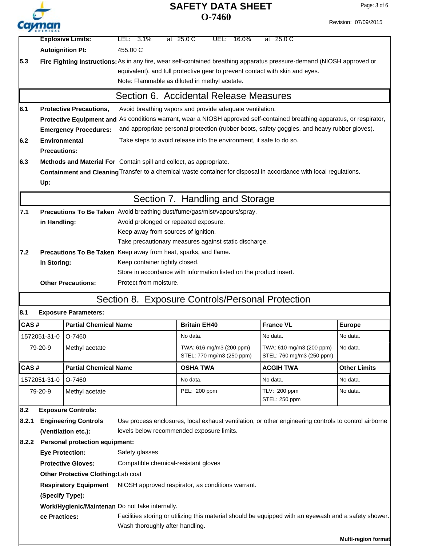| ''<br><b>CHEMICAL</b> |
|-----------------------|

**Explosive Limits:** LEL: 3.1% at 25.0 C UEL: 16.0% at 25.0 C

Page: 3 of 6

|       |                                                                                                                              | <b>Autoignition Pt:</b>               | 455.00 C                                                                                                               |                                                                                                                          |                               |                            |
|-------|------------------------------------------------------------------------------------------------------------------------------|---------------------------------------|------------------------------------------------------------------------------------------------------------------------|--------------------------------------------------------------------------------------------------------------------------|-------------------------------|----------------------------|
| 5.3   |                                                                                                                              |                                       | Fire Fighting Instructions: As in any fire, wear self-contained breathing apparatus pressure-demand (NIOSH approved or |                                                                                                                          |                               |                            |
|       |                                                                                                                              |                                       |                                                                                                                        | equivalent), and full protective gear to prevent contact with skin and eyes.                                             |                               |                            |
|       |                                                                                                                              |                                       | Note: Flammable as diluted in methyl acetate.                                                                          |                                                                                                                          |                               |                            |
|       |                                                                                                                              |                                       |                                                                                                                        | Section 6. Accidental Release Measures                                                                                   |                               |                            |
| 6.1   |                                                                                                                              | <b>Protective Precautions,</b>        |                                                                                                                        | Avoid breathing vapors and provide adequate ventilation.                                                                 |                               |                            |
|       |                                                                                                                              |                                       |                                                                                                                        | Protective Equipment and As conditions warrant, wear a NIOSH approved self-contained breathing apparatus, or respirator, |                               |                            |
|       | and appropriate personal protection (rubber boots, safety goggles, and heavy rubber gloves).<br><b>Emergency Procedures:</b> |                                       |                                                                                                                        |                                                                                                                          |                               |                            |
| 6.2   | <b>Environmental</b>                                                                                                         |                                       |                                                                                                                        | Take steps to avoid release into the environment, if safe to do so.                                                      |                               |                            |
|       | <b>Precautions:</b>                                                                                                          |                                       |                                                                                                                        |                                                                                                                          |                               |                            |
| 6.3   |                                                                                                                              |                                       | Methods and Material For Contain spill and collect, as appropriate.                                                    |                                                                                                                          |                               |                            |
|       |                                                                                                                              |                                       |                                                                                                                        | Containment and Cleaning Transfer to a chemical waste container for disposal in accordance with local regulations.       |                               |                            |
|       | Up:                                                                                                                          |                                       |                                                                                                                        |                                                                                                                          |                               |                            |
|       |                                                                                                                              |                                       |                                                                                                                        | Section 7. Handling and Storage                                                                                          |                               |                            |
| 7.1   |                                                                                                                              |                                       |                                                                                                                        | Precautions To Be Taken Avoid breathing dust/fume/gas/mist/vapours/spray.                                                |                               |                            |
|       | in Handling:                                                                                                                 |                                       | Avoid prolonged or repeated exposure.                                                                                  |                                                                                                                          |                               |                            |
|       |                                                                                                                              |                                       | Keep away from sources of ignition.                                                                                    |                                                                                                                          |                               |                            |
|       |                                                                                                                              |                                       |                                                                                                                        | Take precautionary measures against static discharge.                                                                    |                               |                            |
| 7.2   |                                                                                                                              |                                       | Precautions To Be Taken Keep away from heat, sparks, and flame.                                                        |                                                                                                                          |                               |                            |
|       | in Storing:                                                                                                                  |                                       | Keep container tightly closed.                                                                                         |                                                                                                                          |                               |                            |
|       |                                                                                                                              |                                       | Protect from moisture.                                                                                                 | Store in accordance with information listed on the product insert.                                                       |                               |                            |
|       |                                                                                                                              | <b>Other Precautions:</b>             |                                                                                                                        |                                                                                                                          |                               |                            |
|       |                                                                                                                              |                                       |                                                                                                                        | Section 8. Exposure Controls/Personal Protection                                                                         |                               |                            |
| 8.1   |                                                                                                                              | <b>Exposure Parameters:</b>           |                                                                                                                        |                                                                                                                          |                               |                            |
| CAS#  |                                                                                                                              | <b>Partial Chemical Name</b>          |                                                                                                                        | <b>Britain EH40</b>                                                                                                      | <b>France VL</b>              | <b>Europe</b>              |
|       | 1572051-31-0                                                                                                                 | O-7460                                |                                                                                                                        | No data.                                                                                                                 | No data.                      | No data.                   |
|       | 79-20-9                                                                                                                      | Methyl acetate                        |                                                                                                                        | TWA: 616 mg/m3 (200 ppm)                                                                                                 | TWA: 610 mg/m3 (200 ppm)      | No data.                   |
|       |                                                                                                                              |                                       |                                                                                                                        | STEL: 770 mg/m3 (250 ppm)                                                                                                | STEL: 760 mg/m3 (250 ppm)     |                            |
| CAS#  |                                                                                                                              | <b>Partial Chemical Name</b>          |                                                                                                                        | <b>OSHA TWA</b>                                                                                                          | <b>ACGIH TWA</b>              | <b>Other Limits</b>        |
|       | 1572051-31-0                                                                                                                 | O-7460                                |                                                                                                                        | No data.                                                                                                                 | No data.                      | No data.                   |
|       | 79-20-9                                                                                                                      | Methyl acetate                        |                                                                                                                        | PEL: 200 ppm                                                                                                             | TLV: 200 ppm<br>STEL: 250 ppm | No data.                   |
| 8.2   |                                                                                                                              | <b>Exposure Controls:</b>             |                                                                                                                        |                                                                                                                          |                               |                            |
| 8.2.1 |                                                                                                                              | <b>Engineering Controls</b>           |                                                                                                                        | Use process enclosures, local exhaust ventilation, or other engineering controls to control airborne                     |                               |                            |
|       |                                                                                                                              | (Ventilation etc.):                   |                                                                                                                        | levels below recommended exposure limits.                                                                                |                               |                            |
| 8.2.2 |                                                                                                                              | <b>Personal protection equipment:</b> |                                                                                                                        |                                                                                                                          |                               |                            |
|       |                                                                                                                              | <b>Eye Protection:</b>                | Safety glasses                                                                                                         |                                                                                                                          |                               |                            |
|       |                                                                                                                              | <b>Protective Gloves:</b>             | Compatible chemical-resistant gloves                                                                                   |                                                                                                                          |                               |                            |
|       | Other Protective Clothing: Lab coat                                                                                          |                                       |                                                                                                                        |                                                                                                                          |                               |                            |
|       | NIOSH approved respirator, as conditions warrant.<br><b>Respiratory Equipment</b>                                            |                                       |                                                                                                                        |                                                                                                                          |                               |                            |
|       | (Specify Type):                                                                                                              |                                       |                                                                                                                        |                                                                                                                          |                               |                            |
|       |                                                                                                                              |                                       | Work/Hygienic/Maintenan Do not take internally.                                                                        |                                                                                                                          |                               |                            |
|       | ce Practices:                                                                                                                |                                       |                                                                                                                        | Facilities storing or utilizing this material should be equipped with an eyewash and a safety shower.                    |                               |                            |
|       |                                                                                                                              |                                       | Wash thoroughly after handling.                                                                                        |                                                                                                                          |                               |                            |
|       |                                                                                                                              |                                       |                                                                                                                        |                                                                                                                          |                               | <b>Multi-region format</b> |
|       |                                                                                                                              |                                       |                                                                                                                        |                                                                                                                          |                               |                            |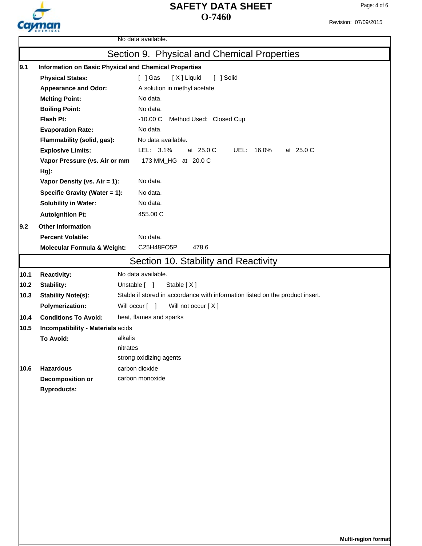

Revision: 07/09/2015

|      |                                                                 | No data available.                                                            |  |  |  |
|------|-----------------------------------------------------------------|-------------------------------------------------------------------------------|--|--|--|
|      |                                                                 | Section 9. Physical and Chemical Properties                                   |  |  |  |
| 9.1  |                                                                 | Information on Basic Physical and Chemical Properties                         |  |  |  |
|      | <b>Physical States:</b><br>$[$ ] Gas<br>[X] Liquid<br>[ ] Solid |                                                                               |  |  |  |
|      | <b>Appearance and Odor:</b>                                     | A solution in methyl acetate                                                  |  |  |  |
|      | <b>Melting Point:</b>                                           | No data.                                                                      |  |  |  |
|      | <b>Boiling Point:</b>                                           | No data.                                                                      |  |  |  |
|      | Flash Pt:                                                       | $-10.00C$<br>Method Used: Closed Cup                                          |  |  |  |
|      | <b>Evaporation Rate:</b>                                        | No data.                                                                      |  |  |  |
|      | Flammability (solid, gas):                                      | No data available.                                                            |  |  |  |
|      | <b>Explosive Limits:</b>                                        | LEL: 3.1%<br>at 25.0 C<br>at 25.0 C<br>UEL: 16.0%                             |  |  |  |
|      | Vapor Pressure (vs. Air or mm                                   | 173 MM_HG at 20.0 C                                                           |  |  |  |
|      | $Hg$ ):                                                         |                                                                               |  |  |  |
|      | Vapor Density (vs. Air = 1):                                    | No data.                                                                      |  |  |  |
|      | Specific Gravity (Water = 1):                                   | No data.                                                                      |  |  |  |
|      | <b>Solubility in Water:</b>                                     | No data.                                                                      |  |  |  |
|      | <b>Autoignition Pt:</b>                                         | 455.00 C                                                                      |  |  |  |
| 9.2  | <b>Other Information</b>                                        |                                                                               |  |  |  |
|      | <b>Percent Volatile:</b>                                        | No data.                                                                      |  |  |  |
|      | <b>Molecular Formula &amp; Weight:</b>                          | C25H48FO5P<br>478.6                                                           |  |  |  |
|      |                                                                 | Section 10. Stability and Reactivity                                          |  |  |  |
| 10.1 | <b>Reactivity:</b>                                              | No data available.                                                            |  |  |  |
| 10.2 | Stability:                                                      | Unstable [ ]<br>Stable [X]                                                    |  |  |  |
| 10.3 | <b>Stability Note(s):</b>                                       | Stable if stored in accordance with information listed on the product insert. |  |  |  |
|      | <b>Polymerization:</b>                                          | Will occur [ ]<br>Will not occur [X]                                          |  |  |  |
| 10.4 | <b>Conditions To Avoid:</b>                                     | heat, flames and sparks                                                       |  |  |  |
| 10.5 | Incompatibility - Materials acids                               |                                                                               |  |  |  |
|      | To Avoid:                                                       | alkalis                                                                       |  |  |  |
|      | nitrates                                                        |                                                                               |  |  |  |
|      |                                                                 | strong oxidizing agents                                                       |  |  |  |
| 10.6 | <b>Hazardous</b>                                                | carbon dioxide                                                                |  |  |  |
|      | Decomposition or                                                | carbon monoxide                                                               |  |  |  |
|      | <b>Byproducts:</b>                                              |                                                                               |  |  |  |
|      |                                                                 |                                                                               |  |  |  |
|      |                                                                 |                                                                               |  |  |  |
|      |                                                                 |                                                                               |  |  |  |
|      |                                                                 |                                                                               |  |  |  |
|      |                                                                 |                                                                               |  |  |  |
|      |                                                                 |                                                                               |  |  |  |
|      |                                                                 |                                                                               |  |  |  |
|      |                                                                 |                                                                               |  |  |  |
|      |                                                                 |                                                                               |  |  |  |
|      |                                                                 |                                                                               |  |  |  |
|      |                                                                 |                                                                               |  |  |  |
|      |                                                                 |                                                                               |  |  |  |

**Multi-region format**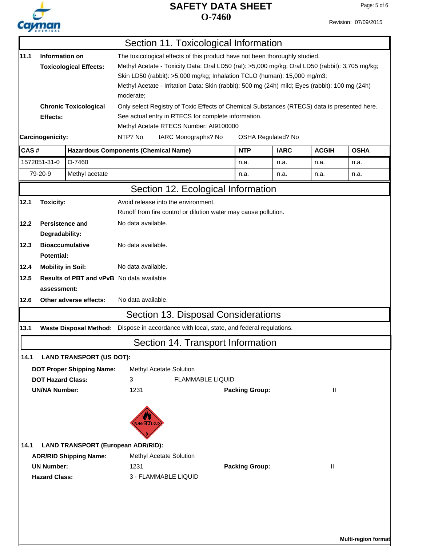# Cayman

#### **O-7460 SAFETY DATA SHEET**

**Multi-region format**

Revision: 07/09/2015

|      |                                                                                                                                                                                                                                                                                                                                                                                                                               |                                           | Section 11. Toxicological Information                                                        |                       |                    |              |             |
|------|-------------------------------------------------------------------------------------------------------------------------------------------------------------------------------------------------------------------------------------------------------------------------------------------------------------------------------------------------------------------------------------------------------------------------------|-------------------------------------------|----------------------------------------------------------------------------------------------|-----------------------|--------------------|--------------|-------------|
| 11.1 | Information on<br>The toxicological effects of this product have not been thoroughly studied.<br>Methyl Acetate - Toxicity Data: Oral LD50 (rat): >5,000 mg/kg; Oral LD50 (rabbit): 3,705 mg/kg;<br><b>Toxicological Effects:</b><br>Skin LD50 (rabbit): >5,000 mg/kg; Inhalation TCLO (human): 15,000 mg/m3;<br>Methyl Acetate - Irritation Data: Skin (rabbit): 500 mg (24h) mild; Eyes (rabbit): 100 mg (24h)<br>moderate; |                                           |                                                                                              |                       |                    |              |             |
|      |                                                                                                                                                                                                                                                                                                                                                                                                                               | <b>Chronic Toxicological</b>              | Only select Registry of Toxic Effects of Chemical Substances (RTECS) data is presented here. |                       |                    |              |             |
|      | Effects:                                                                                                                                                                                                                                                                                                                                                                                                                      |                                           | See actual entry in RTECS for complete information.                                          |                       |                    |              |             |
|      |                                                                                                                                                                                                                                                                                                                                                                                                                               |                                           | Methyl Acetate RTECS Number: AI9100000                                                       |                       |                    |              |             |
|      | Carcinogenicity:                                                                                                                                                                                                                                                                                                                                                                                                              |                                           | NTP? No<br>IARC Monographs? No                                                               |                       | OSHA Regulated? No |              |             |
| CAS# |                                                                                                                                                                                                                                                                                                                                                                                                                               |                                           | <b>Hazardous Components (Chemical Name)</b>                                                  | <b>NTP</b>            | <b>IARC</b>        | <b>ACGIH</b> | <b>OSHA</b> |
|      | 1572051-31-0                                                                                                                                                                                                                                                                                                                                                                                                                  | O-7460                                    |                                                                                              | n.a.                  | n.a.               | n.a.         | n.a.        |
|      | 79-20-9                                                                                                                                                                                                                                                                                                                                                                                                                       | Methyl acetate                            |                                                                                              | n.a.                  | n.a.               | n.a.         | n.a.        |
|      |                                                                                                                                                                                                                                                                                                                                                                                                                               |                                           | Section 12. Ecological Information                                                           |                       |                    |              |             |
| 12.1 | <b>Toxicity:</b>                                                                                                                                                                                                                                                                                                                                                                                                              |                                           | Avoid release into the environment.                                                          |                       |                    |              |             |
|      |                                                                                                                                                                                                                                                                                                                                                                                                                               |                                           | Runoff from fire control or dilution water may cause pollution.                              |                       |                    |              |             |
| 12.2 | <b>Persistence and</b><br>Degradability:                                                                                                                                                                                                                                                                                                                                                                                      |                                           | No data available.                                                                           |                       |                    |              |             |
| 12.3 | Potential:                                                                                                                                                                                                                                                                                                                                                                                                                    | <b>Bioaccumulative</b>                    | No data available.                                                                           |                       |                    |              |             |
| 12.4 | <b>Mobility in Soil:</b>                                                                                                                                                                                                                                                                                                                                                                                                      |                                           | No data available.                                                                           |                       |                    |              |             |
| 12.5 | assessment:                                                                                                                                                                                                                                                                                                                                                                                                                   |                                           | Results of PBT and vPvB No data available.                                                   |                       |                    |              |             |
| 12.6 |                                                                                                                                                                                                                                                                                                                                                                                                                               | Other adverse effects:                    | No data available.                                                                           |                       |                    |              |             |
|      |                                                                                                                                                                                                                                                                                                                                                                                                                               |                                           | Section 13. Disposal Considerations                                                          |                       |                    |              |             |
| 13.1 |                                                                                                                                                                                                                                                                                                                                                                                                                               | <b>Waste Disposal Method:</b>             | Dispose in accordance with local, state, and federal regulations.                            |                       |                    |              |             |
|      |                                                                                                                                                                                                                                                                                                                                                                                                                               |                                           | Section 14. Transport Information                                                            |                       |                    |              |             |
| 14.1 |                                                                                                                                                                                                                                                                                                                                                                                                                               | <b>LAND TRANSPORT (US DOT):</b>           |                                                                                              |                       |                    |              |             |
|      |                                                                                                                                                                                                                                                                                                                                                                                                                               | <b>DOT Proper Shipping Name:</b>          | Methyl Acetate Solution                                                                      |                       |                    |              |             |
|      | <b>DOT Hazard Class:</b>                                                                                                                                                                                                                                                                                                                                                                                                      |                                           | <b>FLAMMABLE LIQUID</b><br>3                                                                 |                       |                    |              |             |
|      | <b>UN/NA Number:</b>                                                                                                                                                                                                                                                                                                                                                                                                          |                                           | 1231                                                                                         | <b>Packing Group:</b> |                    | Ш            |             |
| 14.1 |                                                                                                                                                                                                                                                                                                                                                                                                                               | <b>LAND TRANSPORT (European ADR/RID):</b> | LAMMABLE LIQUI                                                                               |                       |                    |              |             |
|      |                                                                                                                                                                                                                                                                                                                                                                                                                               | <b>ADR/RID Shipping Name:</b>             | Methyl Acetate Solution                                                                      |                       |                    |              |             |
|      | <b>UN Number:</b>                                                                                                                                                                                                                                                                                                                                                                                                             |                                           | 1231                                                                                         | <b>Packing Group:</b> |                    | $\mathbf{H}$ |             |
|      | <b>Hazard Class:</b>                                                                                                                                                                                                                                                                                                                                                                                                          |                                           | 3 - FLAMMABLE LIQUID                                                                         |                       |                    |              |             |
|      |                                                                                                                                                                                                                                                                                                                                                                                                                               |                                           |                                                                                              |                       |                    |              |             |